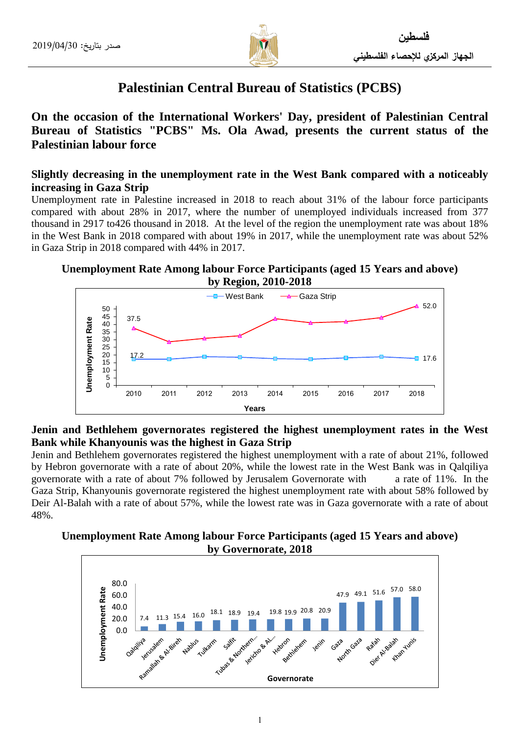

# **Palestinian Central Bureau of Statistics (PCBS)**

**On the occasion of the International Workers' Day, president of Palestinian Central Bureau of Statistics "PCBS" Ms. Ola Awad, presents the current status of the Palestinian labour force** 

# **Slightly decreasing in the unemployment rate in the West Bank compared with a noticeably increasing in Gaza Strip**

Unemployment rate in Palestine increased in 2018 to reach about 31% of the labour force participants compared with about 28% in 2017, where the number of unemployed individuals increased from 377 thousand in 2917 to426 thousand in 2018. At the level of the region the unemployment rate was about 18% in the West Bank in 2018 compared with about 19% in 2017, while the unemployment rate was about 52% in Gaza Strip in 2018 compared with 44% in 2017.

**Unemployment Rate Among labour Force Participants (aged 15 Years and above) by Region, 2010-2018**



# **Jenin and Bethlehem governorates registered the highest unemployment rates in the West Bank while Khanyounis was the highest in Gaza Strip**

Jenin and Bethlehem governorates registered the highest unemployment with a rate of about 21%, followed by Hebron governorate with a rate of about 20%, while the lowest rate in the West Bank was in Qalqiliya governorate with a rate of about 7% followed by Jerusalem Governorate with a rate of 11%. In the Gaza Strip, Khanyounis governorate registered the highest unemployment rate with about 58% followed by Deir Al-Balah with a rate of about 57%, while the lowest rate was in Gaza governorate with a rate of about 48%.

# **Unemployment Rate Among labour Force Participants (aged 15 Years and above) by Governorate, 2018**

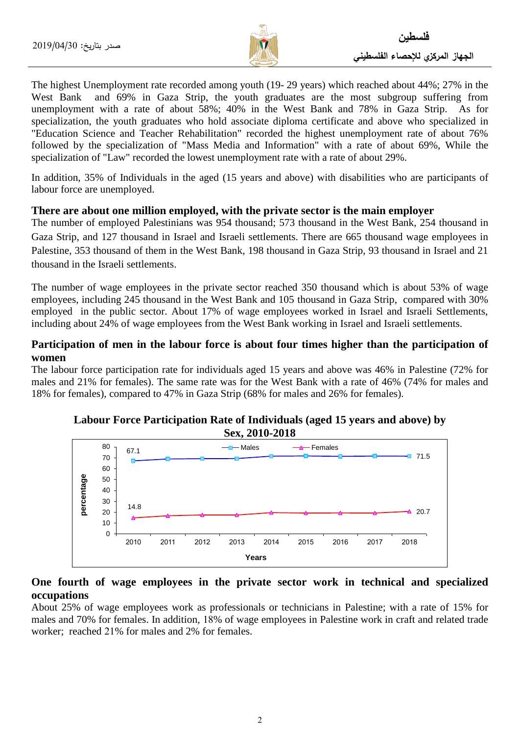

The highest Unemployment rate recorded among youth (19- 29 years) which reached about 44%; 27% in the West Bank and 69% in Gaza Strip, the youth graduates are the most subgroup suffering from unemployment with a rate of about 58%; 40% in the West Bank and 78% in Gaza Strip. As for specialization, the youth graduates who hold associate diploma certificate and above who specialized in "Education Science and Teacher Rehabilitation" recorded the highest unemployment rate of about 76% followed by the specialization of "Mass Media and Information" with a rate of about 69%, While the specialization of "Law" recorded the lowest unemployment rate with a rate of about 29%.

In addition, 35% of Individuals in the aged (15 years and above) with disabilities who are participants of labour force are unemployed.

#### **There are about one million employed, with the private sector is the main employer**

The number of employed Palestinians was 954 thousand; 573 thousand in the West Bank, 254 thousand in Gaza Strip, and 127 thousand in Israel and Israeli settlements. There are 665 thousand wage employees in Palestine, 353 thousand of them in the West Bank, 198 thousand in Gaza Strip, 93 thousand in Israel and 21 thousand in the Israeli settlements.

The number of wage employees in the private sector reached 350 thousand which is about 53% of wage employees, including 245 thousand in the West Bank and 105 thousand in Gaza Strip, compared with 30% employed in the public sector. About 17% of wage employees worked in Israel and Israeli Settlements, including about 24% of wage employees from the West Bank working in Israel and Israeli settlements.

## **Participation of men in the labour force is about four times higher than the participation of women**

The labour force participation rate for individuals aged 15 years and above was 46% in Palestine (72% for males and 21% for females). The same rate was for the West Bank with a rate of 46% (74% for males and 18% for females), compared to 47% in Gaza Strip (68% for males and 26% for females).



#### **Labour Force Participation Rate of Individuals (aged 15 years and above) by Sex, 2010-2018**

#### **One fourth of wage employees in the private sector work in technical and specialized occupations**

About 25% of wage employees work as professionals or technicians in Palestine; with a rate of 15% for males and 70% for females. In addition, 18% of wage employees in Palestine work in craft and related trade worker; reached 21% for males and 2% for females.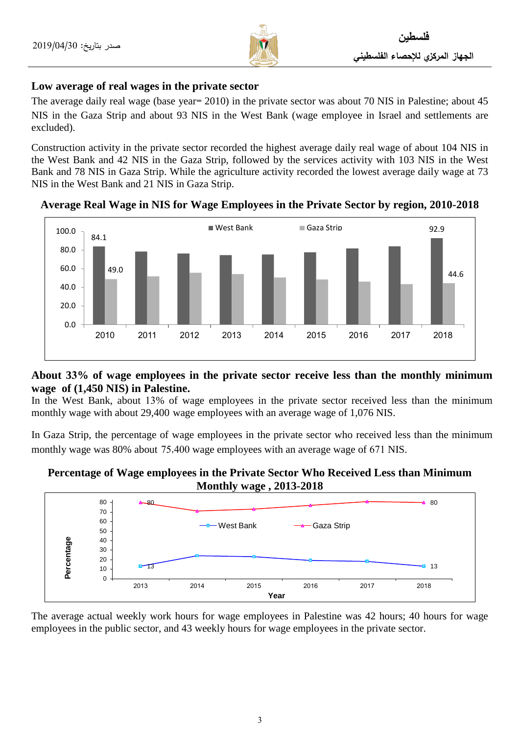

# **Low average of real wages in the private sector**

The average daily real wage (base year= 2010) in the private sector was about 70 NIS in Palestine; about 45 NIS in the Gaza Strip and about 93 NIS in the West Bank (wage employee in Israel and settlements are excluded).

Construction activity in the private sector recorded the highest average daily real wage of about 104 NIS in the West Bank and 42 NIS in the Gaza Strip, followed by the services activity with 103 NIS in the West Bank and 78 NIS in Gaza Strip. While the agriculture activity recorded the lowest average daily wage at 73 NIS in the West Bank and 21 NIS in Gaza Strip.



**Average Real Wage in NIS for Wage Employees in the Private Sector by region, 2010-2018**

# **About 33% of wage employees in the private sector receive less than the monthly minimum wage of (1,450 NIS) in Palestine.**

In the West Bank, about 13% of wage employees in the private sector received less than the minimum monthly wage with about 29,400 wage employees with an average wage of 1,076 NIS.

In Gaza Strip, the percentage of wage employees in the private sector who received less than the minimum monthly wage was 80% about 75,400 wage employees with an average wage of 671 NIS.

# **Percentage of Wage employees in the Private Sector Who Received Less than Minimum Monthly wage , 2013-2018**



The average actual weekly work hours for wage employees in Palestine was 42 hours; 40 hours for wage employees in the public sector, and 43 weekly hours for wage employees in the private sector.